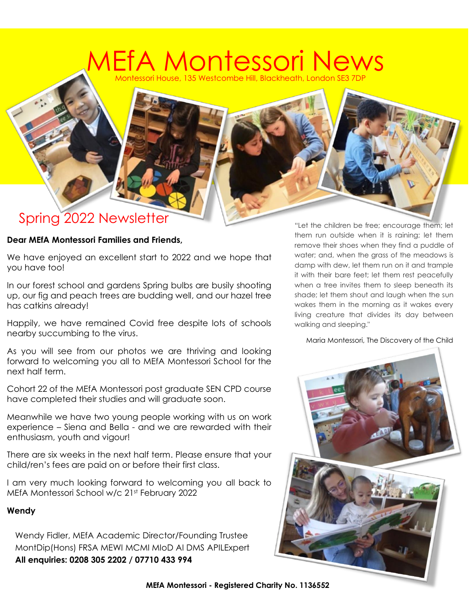#### Montessori House, 135 Westcombe Hill, Blackheath, London SE3 7DP EfA Montessori Ne'

#### Spring 2022 Newsletter

#### **Dear MEfA Montessori Families and Friends,**

We have enjoyed an excellent start to 2022 and we hope that you have too!

In our forest school and gardens Spring bulbs are busily shooting up, our fig and peach trees are budding well, and our hazel tree has catkins already!

Happily, we have remained Covid free despite lots of schools nearby succumbing to the virus.

As you will see from our photos we are thriving and looking forward to welcoming you all to MEfA Montessori School for the next half term.

Cohort 22 of the MEfA Montessori post graduate SEN CPD course have completed their studies and will graduate soon.

Meanwhile we have two young people working with us on work experience – Siena and Bella - and we are rewarded with their enthusiasm, youth and vigour!

There are six weeks in the next half term. Please ensure that your child/ren's fees are paid on or before their first class.

I am very much looking forward to welcoming you all back to MEfA Montessori School w/c 21st February 2022

#### **Wendy**

Wendy Fidler, MEfA Academic Director/Founding Trustee MontDip(Hons) FRSA MEWI MCMI MIoD AI DMS APILExpert **All enquiries: 0208 305 2202 / 07710 433 994**

"Let the children be free; encourage them; let them run outside when it is raining; let them remove their shoes when they find a puddle of water; and, when the grass of the meadows is damp with dew, let them run on it and trample it with their bare feet; let them rest peacefully when a tree invites them to sleep beneath its shade; let them shout and laugh when the sun wakes them in the morning as it wakes every living creature that divides its day between walking and sleeping."

Maria Montessori, The Discovery of the Child



**MEfA Montessori - Registered Charity No. 1136552**